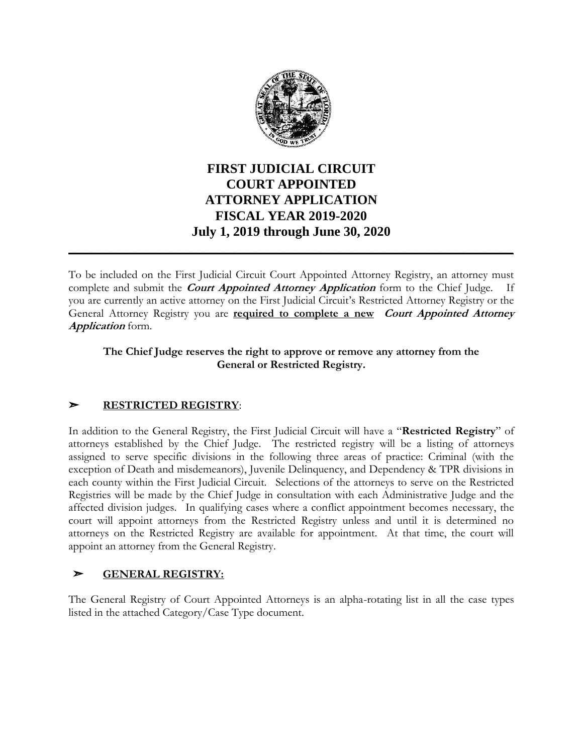

# **FIRST JUDICIAL CIRCUIT COURT APPOINTED ATTORNEY APPLICATION FISCAL YEAR 2019-2020 July 1, 2019 through June 30, 2020 \_\_\_\_\_\_\_\_\_\_\_\_\_\_\_\_\_\_\_\_\_\_\_\_\_\_\_\_\_\_\_\_\_\_\_\_\_\_\_\_\_\_\_\_\_\_\_\_\_\_\_\_\_\_\_\_\_\_\_\_\_\_\_\_\_\_**

To be included on the First Judicial Circuit Court Appointed Attorney Registry, an attorney must complete and submit the **Court Appointed Attorney Application** form to the Chief Judge. If you are currently an active attorney on the First Judicial Circuit's Restricted Attorney Registry or the General Attorney Registry you are **required to complete a new Court Appointed Attorney Application** form.

#### **The Chief Judge reserves the right to approve or remove any attorney from the General or Restricted Registry.**

### ➣ **RESTRICTED REGISTRY**:

In addition to the General Registry, the First Judicial Circuit will have a "**Restricted Registry**" of attorneys established by the Chief Judge. The restricted registry will be a listing of attorneys assigned to serve specific divisions in the following three areas of practice: Criminal (with the exception of Death and misdemeanors), Juvenile Delinquency, and Dependency & TPR divisions in each county within the First Judicial Circuit. Selections of the attorneys to serve on the Restricted Registries will be made by the Chief Judge in consultation with each Administrative Judge and the affected division judges. In qualifying cases where a conflict appointment becomes necessary, the court will appoint attorneys from the Restricted Registry unless and until it is determined no attorneys on the Restricted Registry are available for appointment. At that time, the court will appoint an attorney from the General Registry.

### ➣ **GENERAL REGISTRY:**

The General Registry of Court Appointed Attorneys is an alpha-rotating list in all the case types listed in the attached Category/Case Type document.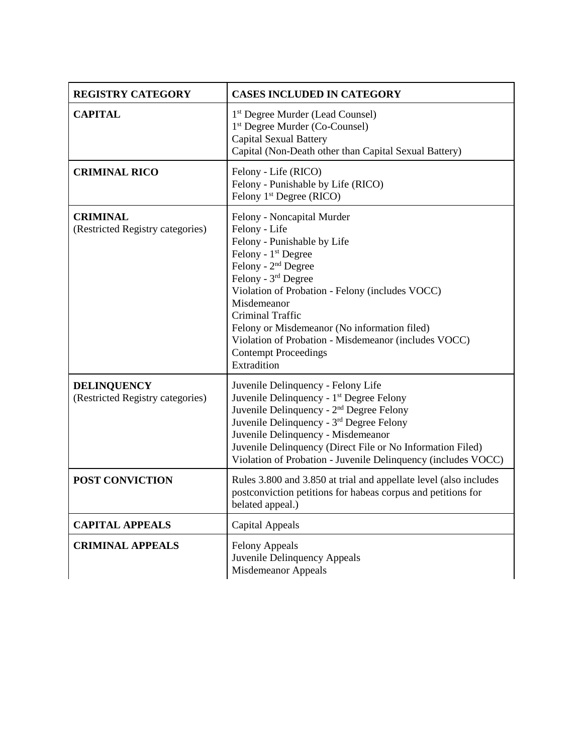| <b>REGISTRY CATEGORY</b>                               | <b>CASES INCLUDED IN CATEGORY</b>                                                                                                                                                                                                                                                                                                                                                                                   |
|--------------------------------------------------------|---------------------------------------------------------------------------------------------------------------------------------------------------------------------------------------------------------------------------------------------------------------------------------------------------------------------------------------------------------------------------------------------------------------------|
| <b>CAPITAL</b>                                         | 1 <sup>st</sup> Degree Murder (Lead Counsel)<br>1 <sup>st</sup> Degree Murder (Co-Counsel)<br><b>Capital Sexual Battery</b><br>Capital (Non-Death other than Capital Sexual Battery)                                                                                                                                                                                                                                |
| <b>CRIMINAL RICO</b>                                   | Felony - Life (RICO)<br>Felony - Punishable by Life (RICO)<br>Felony 1 <sup>st</sup> Degree (RICO)                                                                                                                                                                                                                                                                                                                  |
| <b>CRIMINAL</b><br>(Restricted Registry categories)    | Felony - Noncapital Murder<br>Felony - Life<br>Felony - Punishable by Life<br>Felony - 1 <sup>st</sup> Degree<br>Felony - 2 <sup>nd</sup> Degree<br>Felony - 3rd Degree<br>Violation of Probation - Felony (includes VOCC)<br>Misdemeanor<br>Criminal Traffic<br>Felony or Misdemeanor (No information filed)<br>Violation of Probation - Misdemeanor (includes VOCC)<br><b>Contempt Proceedings</b><br>Extradition |
| <b>DELINQUENCY</b><br>(Restricted Registry categories) | Juvenile Delinquency - Felony Life<br>Juvenile Delinquency - 1 <sup>st</sup> Degree Felony<br>Juvenile Delinquency - 2 <sup>nd</sup> Degree Felony<br>Juvenile Delinquency - 3rd Degree Felony<br>Juvenile Delinquency - Misdemeanor<br>Juvenile Delinquency (Direct File or No Information Filed)<br>Violation of Probation - Juvenile Delinquency (includes VOCC)                                                 |
| <b>POST CONVICTION</b>                                 | Rules 3.800 and 3.850 at trial and appellate level (also includes<br>postconviction petitions for habeas corpus and petitions for<br>belated appeal.)                                                                                                                                                                                                                                                               |
| <b>CAPITAL APPEALS</b>                                 | <b>Capital Appeals</b>                                                                                                                                                                                                                                                                                                                                                                                              |
| <b>CRIMINAL APPEALS</b>                                | <b>Felony Appeals</b><br>Juvenile Delinquency Appeals<br>Misdemeanor Appeals                                                                                                                                                                                                                                                                                                                                        |